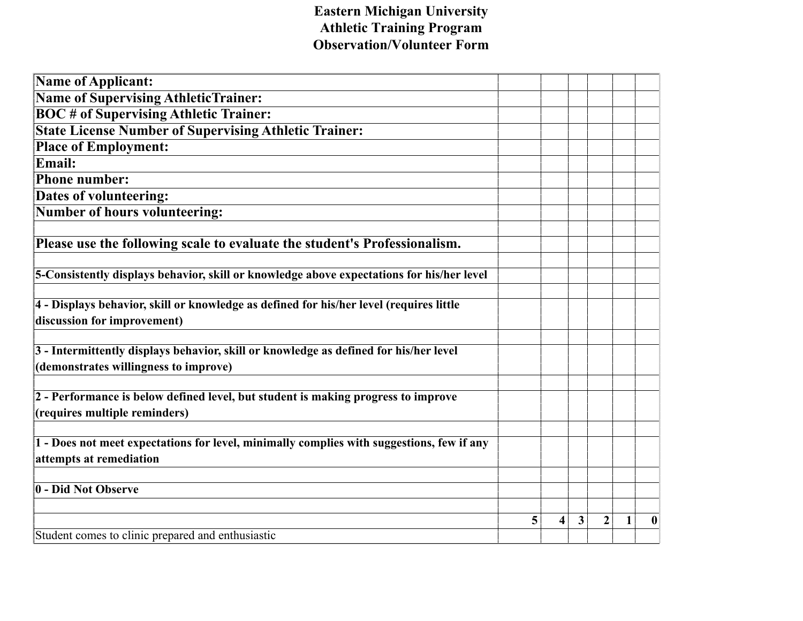## **Eastern Michigan University Athletic Training Program Observation/Volunteer Form**

| <b>Name of Applicant:</b>                                                                 |   |   |              |                |              |                  |
|-------------------------------------------------------------------------------------------|---|---|--------------|----------------|--------------|------------------|
| <b>Name of Supervising AthleticTrainer:</b>                                               |   |   |              |                |              |                  |
| <b>BOC</b> # of Supervising Athletic Trainer:                                             |   |   |              |                |              |                  |
| <b>State License Number of Supervising Athletic Trainer:</b>                              |   |   |              |                |              |                  |
| <b>Place of Employment:</b>                                                               |   |   |              |                |              |                  |
| Email:                                                                                    |   |   |              |                |              |                  |
| <b>Phone number:</b>                                                                      |   |   |              |                |              |                  |
| <b>Dates of volunteering:</b>                                                             |   |   |              |                |              |                  |
| <b>Number of hours volunteering:</b>                                                      |   |   |              |                |              |                  |
|                                                                                           |   |   |              |                |              |                  |
| Please use the following scale to evaluate the student's Professionalism.                 |   |   |              |                |              |                  |
|                                                                                           |   |   |              |                |              |                  |
| 5-Consistently displays behavior, skill or knowledge above expectations for his/her level |   |   |              |                |              |                  |
|                                                                                           |   |   |              |                |              |                  |
| 4 - Displays behavior, skill or knowledge as defined for his/her level (requires little   |   |   |              |                |              |                  |
| discussion for improvement)                                                               |   |   |              |                |              |                  |
| 3 - Intermittently displays behavior, skill or knowledge as defined for his/her level     |   |   |              |                |              |                  |
| (demonstrates willingness to improve)                                                     |   |   |              |                |              |                  |
|                                                                                           |   |   |              |                |              |                  |
| 2 - Performance is below defined level, but student is making progress to improve         |   |   |              |                |              |                  |
| (requires multiple reminders)                                                             |   |   |              |                |              |                  |
|                                                                                           |   |   |              |                |              |                  |
| 1 - Does not meet expectations for level, minimally complies with suggestions, few if any |   |   |              |                |              |                  |
| attempts at remediation                                                                   |   |   |              |                |              |                  |
|                                                                                           |   |   |              |                |              |                  |
| 0 - Did Not Observe                                                                       |   |   |              |                |              |                  |
|                                                                                           |   |   |              |                |              |                  |
|                                                                                           | 5 | 4 | $\mathbf{3}$ | $\overline{2}$ | $\mathbf{1}$ | $\boldsymbol{0}$ |
| Student comes to clinic prepared and enthusiastic                                         |   |   |              |                |              |                  |